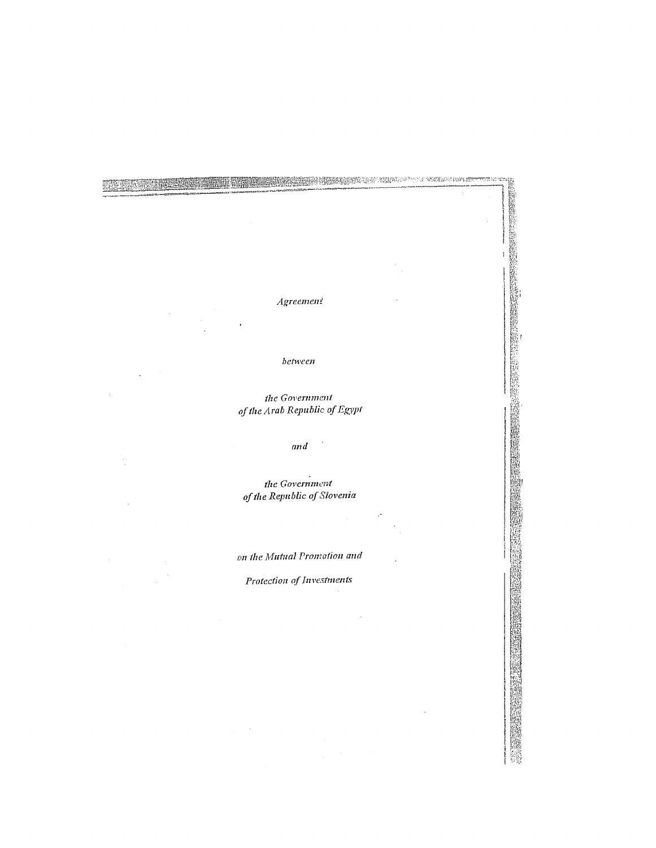**Agreement** 

between

the Government of the Arab Republic of Egypt

 $\bar{\xi}$ 

 $\bar{ }$ and

the Government of the Republic of Slovenia

on the Mutual Promotion and

Protection of Investments

 $\sim$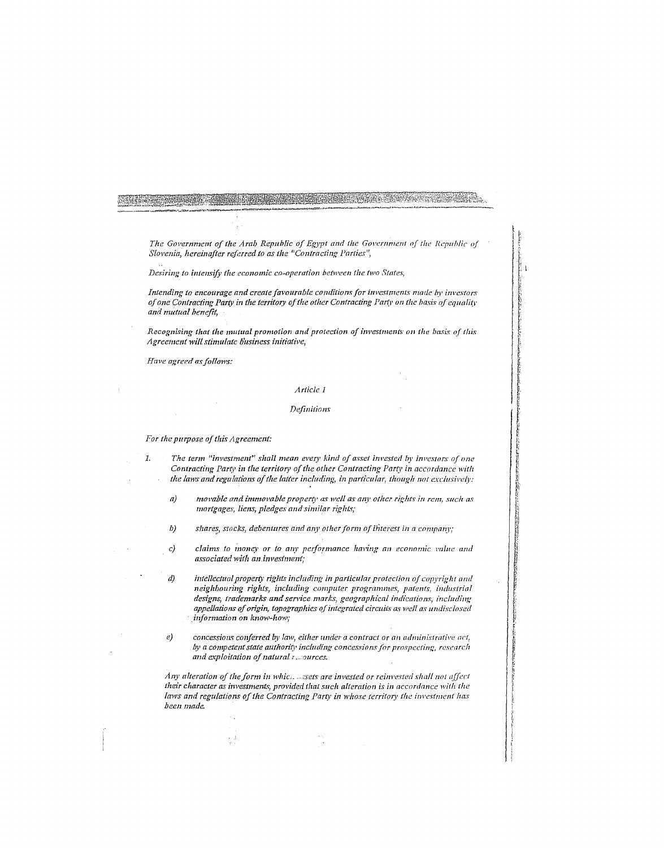The Government of the Arab Republic of Egypt and the Government of the Republic of Slovenia, hereinafter referred to as the "Contracting Parties",

Desiring to intensify the economic co-operation between the two States,

Intending to encourage and create favourable conditions for investments made by investors of one Contracting Party in the territory of the other Contracting Party on the basis of equality and mutual henefit,

Recognising that the mutual promotion and protection of investments on the basis of this Agreement will stimulate business initiative,

Have agreed as follows:

 $\mathcal{I}.$ 

Article 1

Definitions

For the purpose of this Agreement:

The term "investment" shall mean every kind of asset invested by investors of one Contracting Party in the territory of the other Contracting Party in accordance with the laws and regulations of the latter including, in particular, though not exclusively:

- movable and immovable property as well as any other rights in rem, such as  $a)$ mortgages, liens, pledges and similar rights;
- $b)$ shares, stocks, debentures and any other form of interest in a company;
- claims to money or to any performance having an economic value and  $c)$ associated with an investment;

 $\overline{d}$ intellectual property rights including in particular protection of copyright and neighbouring rights, including computer programmes, patents, industrial designs, trademarks and service marks, geographical indications, including appellations of origin, topographics of integrated circuits as well as undisclosed information on know-how;

 $\epsilon$ concessions conferred by law, either under a contract or an administrative act, by a competent state authority including concessions for prospecting, research and exploitation of natural resources.

Any alteration of the form in which largets are invested or reinvested shall not affect their character as investments, provided that such alteration is in accordance with the laws and regulations of the Contracting Party in whose territory the investment has been made.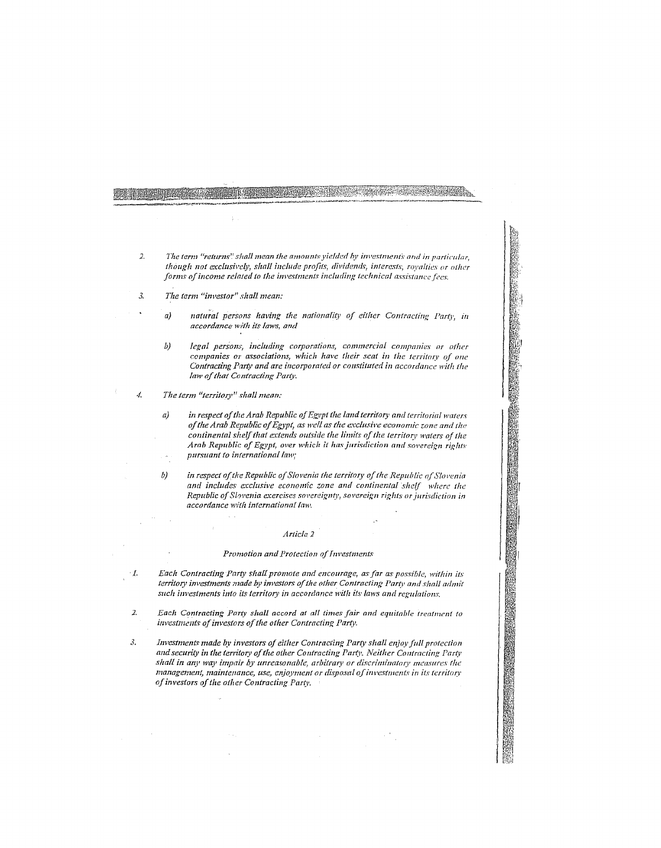- $\overline{2}$ The term "returns" shall mean the amounts yielded by investments and in particular, though not exclusively, shall include profits, dividends, interests, royalties or other forms of income related to the investments including technical assistance fees.
- The term "investor" shall mean:  $\mathfrak{Z}$

l,

natural persons having the nationality of either Contracting Party, in  $a)$ accordance with its laws, and

- $b)$ legal persons, including corporations, commercial companies or other companies or associations, which have their seat in the territory of one Contracting Party and are incorporated or constituted in accordance with the law of that Contracting Party.
- The term "territory" shall mean:  $\overline{d}$ 
	- in respect of the Arab Republic of Egypt the land territory and territorial waters  $\alpha$ of the Arab Republic of Egypt, as well as the exclusive economic zone and the continental shelf that extends outside the limits of the territory waters of the Arab Republic of Egypt, over which it has jurisdiction and sovereign rights pursuant to international law;
	- $b)$ in respect of the Republic of Slovenia the territory of the Republic of Slovenia and includes exclusive economic zone and continental shelf where the Republic of Slovenia exercises sovereignty, sovereign rights or jurisdiction in accordance with international law.

### Article<sub>2</sub>

# Promotion and Protection of Investments

- $\cdot I.$ Each Contracting Party shall promote and encourage, as far as possible, within its territory investments made by investors of the other Contracting Party and shall admit such investments into its territory in accordance with its laws and regulations.
- 2. Each Contracting Party shall accord at all times fair and equitable treatment to investments of investors of the other Contracting Party.
- $3.$ Investments made by investors of either Contracting Party shall enjoy full protection and security in the territory of the other Contracting Party. Neither Contracting Party shall in any way impair by unreasonable, arbitrary or discriminatory measures the management, maintenance, use, enjoyment or disposal of investments in its territory of investors of the other Contracting Party.

 $\hat{\mathcal{L}}_{\text{eff}}$  $\bar{\mathbf{v}}$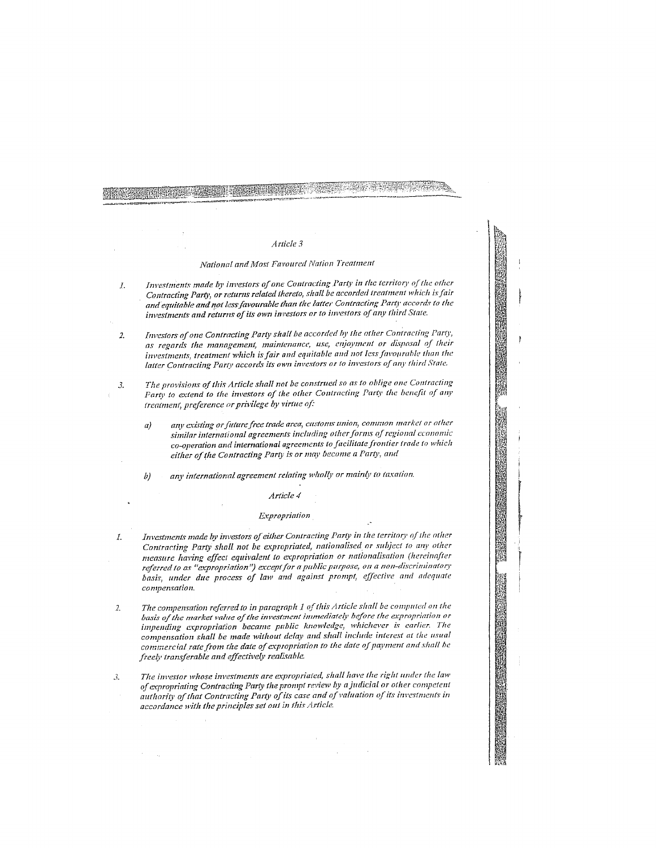# 

Article 3

 $\mathcal{L}_{\rm{in}}$ 

risk skuppen myndelse virken utgruppen i den beståret med en styre stattet som deleger av styre stattet som de<br>Virkelige skuppen til stattenet i gradiska i stedskapelig grupp til statte som stattet som stedskapelige stat

# National and Most Favoured Nation Treatment

- Investments made by investors of one Contracting Party in the territory of the other  $I.$ Contracting Party, or returns related thereto, shall be accorded treatment which is fair and equitable and not less favourable than the latter Contracting Party accords to the investments and returns of its own investors or to investors of any third State.
- Investors of one Contracting Party shall be accorded by the other Contracting Party,  $\mathfrak{2}.$ as regards the management, maintenance, use, enjoyment or disposal of their investments, treatment which is fair and equitable and not less favourable than the latter Contracting Party accords its own investors or to investors of any third State.
- The provisions of this Article shall not be construed so as to oblige one Contracting  $3.$ Party to extend to the investors of the other Contracting Party the benefit of any treatment, preference or privilege by virtue of:
	- any existing or future free trade area, customs union, common market or other  $a)$ similar international agreements including other forms of regional economic co-operation and international agreements to facilitate frontier trade to which either of the Contracting Party is or may become a Party, and
	- any international agreement relating wholly or mainly to taxation.  $b)$

# Article 4

### Expropriation

- Investments made by investors of either Contracting Party in the territory of the other I. Contracting Party shall not be expropriated, nationalised or subject to any other measure having effect equivalent to expropriation or nationalisation (hereinafter referred to as "expropriation") except for a public purpose, on a non-discriminatory basis, under due process of law and against prompt, effective and adequate compensation.
- The compensation referred to in paragraph 1 of this Article shall be computed on the  $\overline{a}$ basis of the market value of the investment immediately before the expropriation or impending expropriation became public knowledge, whichever is earlier. The compensation shall be made without delay and shall include interest at the usual commercial rate from the date of expropriation to the date of payment and shall be freely transferable and effectively realisable.
- The investor whose investments are expropriated, shall have the right under the law  $\mathfrak{Z}$ of expropriating Contracting Party the prompt review by a judicial or other competent authority of that Contracting Party of its case and of valuation of its investments in accordance with the principles set out in this Article.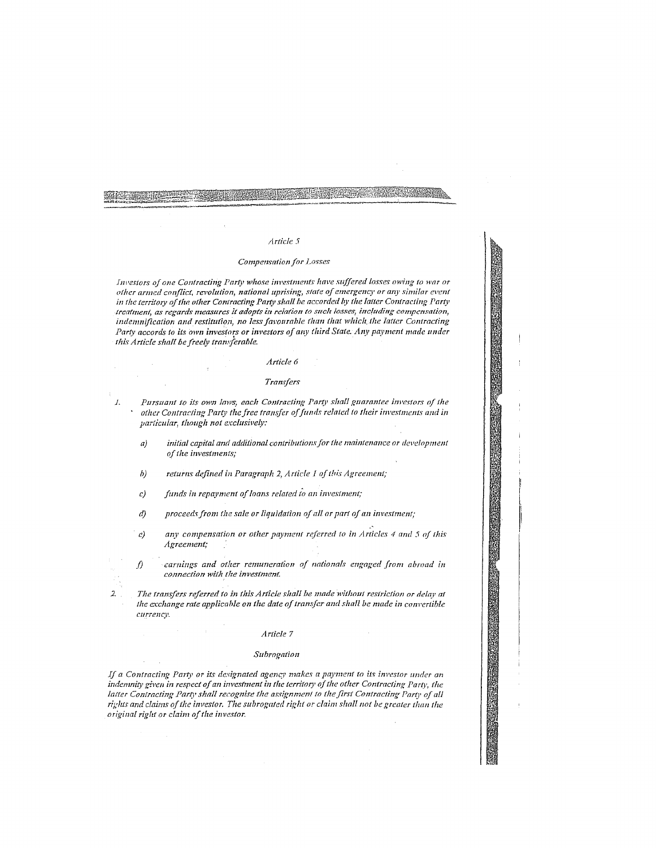### Article 5

# Compensation for Losses

Investors of one Contracting Party whose investments have suffered losses owing to war or other armed conflict, revolution, national uprising, state of emergency or any similar event in the territory of the other Contracting Party shall be accorded by the latter Contracting Party treatment, as regards measures it adopts in relation to such losses, including compensation, indemnification and restitution, no less favourable than that which the latter Contracting Party accords to its own investors or investors of any third State. Any payment made under this Article shall be freely transferable.

### Article 6

### Transfers

Pursuant to its own laws, each Contracting Party shall guarantee investors of the  $I.$ other Contracting Party the free transfer of funds related to their investments and in particular, though not exclusively:

- initial capital and additional contributions for the maintenance or development  $a)$ of the investments;
- $b)$ returns defined in Paragraph 2, Article 1 of this Agreement;
- funds in repayment of loans related to an investment;  $c)$
- proceeds from the sale or liquidation of all or part of an investment;  $\left( d \right)$
- any compensation or other payment referred to in Articles 4 and 5 of this  $\mathcal{L}$ Agreement;
- carnings and other remuneration of nationals engaged from abroad in ſ) connection with the investment.

 $\overline{z}$ The transfers referred to in this Article shall be made without restriction or delay at the exchange rate applicable on the date of transfer and shall be made in convertible ситтенсу.

### Article 7

# Subrogation

If a Contracting Party or its designated agency makes a payment to its investor under an indemnity given in respect of an investment in the territory of the other Contracting Party, the latter Contracting Party shall recognise the assignment to the first Contracting Party of all rights and claims of the investor. The subrogated right or claim shall not be greater than the original right or claim of the investor.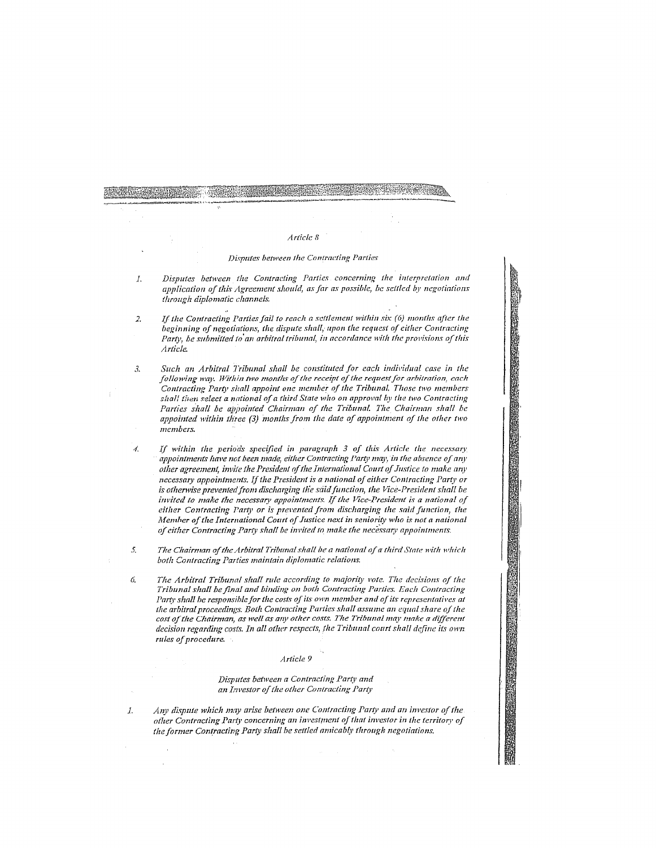# Article 8

HEAVEN CONTRACT RESIDENCE

### Disputes between the Contracting Parties

- Disputes between the Contracting Parties concerning the interpretation and 1. application of this Agreement should, as far as possible, be settled by negotiations through diplomatic channels.
- If the Contracting Parties fail to reach a settlement within six (6) months after the  $\overline{a}$ beginning of negotiations, the dispute shall, upon the request of either Contracting Party, be submitted to an arbitral tribunal, in accordance with the provisions of this **Article**
- $\mathfrak{Z}$ Such an Arbitral Tribunal shall be constituted for each individual case in the following way. Within two months of the receipt of the request for arbitration, each Contracting Party shall appoint one member of the Tribunal. Those two members shall then select a national of a third State who on approval by the two Contracting Parties shall be appointed Chairman of the Tribunal. The Chairman shall be appointed within three (3) months from the date of appointment of the other two members.

- 4, If within the periods specified in paragraph 3 of this Article the necessary appointments have not been made, either Contracting Party may, in the absence of any other agreement, invite the President of the International Court of Justice to make any necessary appointments. If the President is a national of either Contracting Party or is otherwise prevented from discharging the said function, the Vice-President shall be invited to make the necessary appointments. If the Vice-President is a national of either Contracting Party or is prevented from discharging the said function, the Member of the International Court of Justice next in seniority who is not a national of cither Contracting Party shall be invited to make the necessary appointments.
- The Chairman of the Arbitral Tribunal shall be a national of a third State with which -5. both Contracting Parties maintain diplomatic relations.
- The Arbitral Tribunal shall rule according to majority vote. The decisions of the 6. Tribunal shall be final and binding on both Contracting Parties. Each Contracting Party shall be responsible for the costs of its own member and of its representatives at the arbitral proceedings. Both Contracting Parties shall assume an equal share of the cost of the Chairman, as well as any other costs. The Tribunal may make a different decision regarding costs. In all other respects, the Tribunal court shall define its own rules of procedure.

### Article 9

Disputes between a Contracting Party and an Investor of the other Contracting Party

Any dispute which may arise between one Contracting Party and an investor of the  $\cal I.$ other Contracting Party concerning an investment of that investor in the territory of the former Contracting Party shall be settled amicably through negotiations.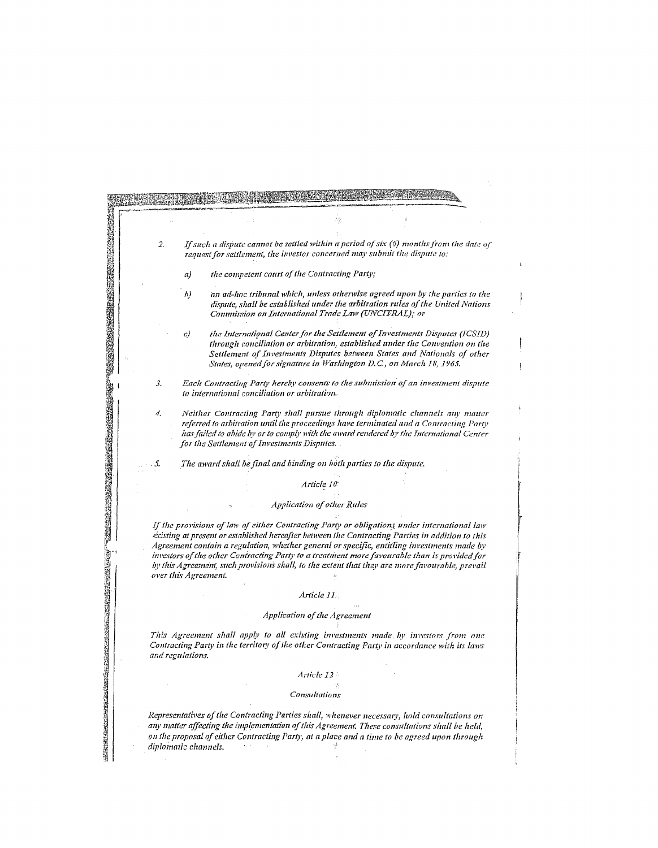| $\mathfrak{2}$ . |                      |                                               | request for settlement, the investor concerned may submit the dispute to:                                                                                                                                                                                                                                                                                                                                                                                                                       | If such a dispute cannot be settled within a period of six (6) months from the date of                                                                                                                                                                            |
|------------------|----------------------|-----------------------------------------------|-------------------------------------------------------------------------------------------------------------------------------------------------------------------------------------------------------------------------------------------------------------------------------------------------------------------------------------------------------------------------------------------------------------------------------------------------------------------------------------------------|-------------------------------------------------------------------------------------------------------------------------------------------------------------------------------------------------------------------------------------------------------------------|
|                  | a)                   |                                               | the connetent court of the Contracting Party;                                                                                                                                                                                                                                                                                                                                                                                                                                                   |                                                                                                                                                                                                                                                                   |
|                  | h)                   |                                               | Commission on International Trade Law (UNCITRAL); or                                                                                                                                                                                                                                                                                                                                                                                                                                            | an ad-hoc tribunal which, unless otherwise agreed upon by the parties to the<br>dispute, shall be established under the arbitration rules of the United Nations                                                                                                   |
|                  | c)                   |                                               | States, opened for signature in Washington D.C., on March 18, 1965.                                                                                                                                                                                                                                                                                                                                                                                                                             | the International Center for the Settlement of Investments Disputes (ICSID)<br>through conciliation or arbitration, established under the Convention on the<br>Settlement of Investments Disputes between States and Nationals of other                           |
| 3.               |                      | to international conciliation or arbitration. |                                                                                                                                                                                                                                                                                                                                                                                                                                                                                                 | Each Contracting Party hereby consents to the submission of an investment dispute                                                                                                                                                                                 |
| 4.               |                      | for the Settlement of Investments Disputes.   |                                                                                                                                                                                                                                                                                                                                                                                                                                                                                                 | Neither Contracting Party shall pursue through diplomatic channels any matter<br>referred to arbitration until the proceedings have terminated and a Contracting Party<br>has failed to abide by or to comply with the award rendered by the International Center |
| . 5.             |                      |                                               | The award shall be final and binding on both parties to the dispute.                                                                                                                                                                                                                                                                                                                                                                                                                            |                                                                                                                                                                                                                                                                   |
|                  |                      |                                               | Article 10                                                                                                                                                                                                                                                                                                                                                                                                                                                                                      |                                                                                                                                                                                                                                                                   |
|                  |                      |                                               | <b>Application of other Rules</b>                                                                                                                                                                                                                                                                                                                                                                                                                                                               |                                                                                                                                                                                                                                                                   |
|                  | over this Agreement. |                                               | If the provisions of law of either Contracting Party or obligations under international law<br>existing at present or established hereafter between the Contracting Parties in addition to this<br>Agreement contain a regulation, whether general or specific, entitling investments made by<br>investors of the other Contracting Party to a treatment more favourable than is provided for<br>by this Agreement, such provisions shall, to the extent that they are more favourable, prevail |                                                                                                                                                                                                                                                                   |
|                  |                      |                                               | Article 11                                                                                                                                                                                                                                                                                                                                                                                                                                                                                      |                                                                                                                                                                                                                                                                   |
|                  |                      |                                               | Application of the Agreement                                                                                                                                                                                                                                                                                                                                                                                                                                                                    |                                                                                                                                                                                                                                                                   |
|                  | and regulations.     |                                               | This Agreement shall apply to all existing investments made by investors from one<br>Contracting Party in the territory of the other Contracting Party in accordance with its laws                                                                                                                                                                                                                                                                                                              |                                                                                                                                                                                                                                                                   |
|                  |                      |                                               | Article 12                                                                                                                                                                                                                                                                                                                                                                                                                                                                                      |                                                                                                                                                                                                                                                                   |
|                  |                      |                                               | Consultations                                                                                                                                                                                                                                                                                                                                                                                                                                                                                   |                                                                                                                                                                                                                                                                   |
|                  | diplomatic channels. |                                               | Representatives of the Contracting Parties shall, whenever necessary, hold consultations on<br>any matter affecting the implementation of this Agreement. These consultations shall be held,<br>on the proposal of either Contracting Party, at a place and a time to be agreed upon through                                                                                                                                                                                                    |                                                                                                                                                                                                                                                                   |